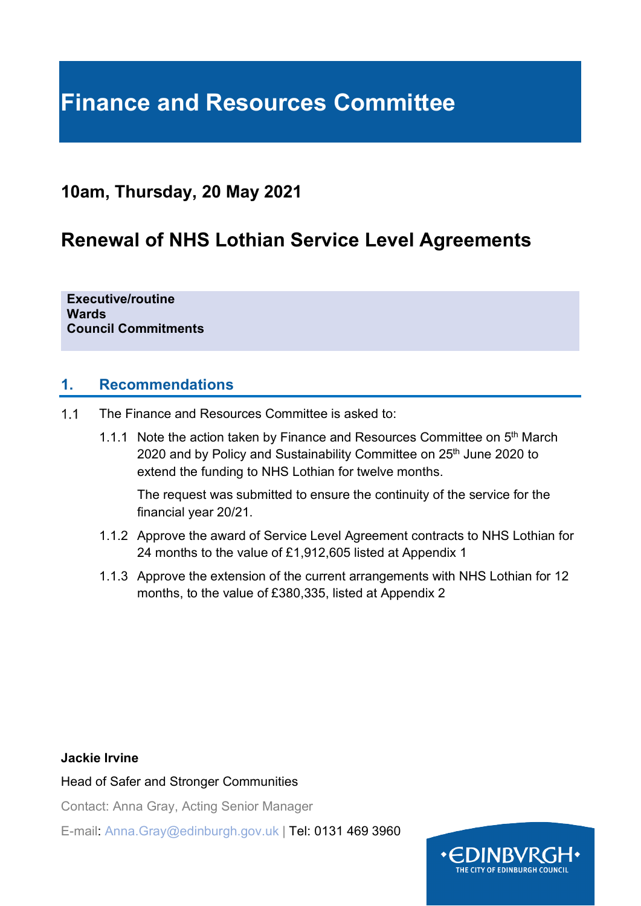# **Finance and Resources Committee**

# **10am, Thursday, 20 May 2021**

# **Renewal of NHS Lothian Service Level Agreements**

**Executive/routine Wards Council Commitments**

#### **1. Recommendations**

- $1.1$ The Finance and Resources Committee is asked to:
	- 1.1.1 Note the action taken by Finance and Resources Committee on 5<sup>th</sup> March 2020 and by Policy and Sustainability Committee on 25<sup>th</sup> June 2020 to extend the funding to NHS Lothian for twelve months.

The request was submitted to ensure the continuity of the service for the financial year 20/21.

- 1.1.2 Approve the award of Service Level Agreement contracts to NHS Lothian for 24 months to the value of £1,912,605 listed at Appendix 1
- 1.1.3 Approve the extension of the current arrangements with NHS Lothian for 12 months, to the value of £380,335, listed at Appendix 2

#### **Jackie Irvine**

Head of Safer and Stronger Communities

Contact: Anna Gray, Acting Senior Manager

E-mail: Anna.Gray@edinburgh.gov.uk | Tel: 0131 469 3960

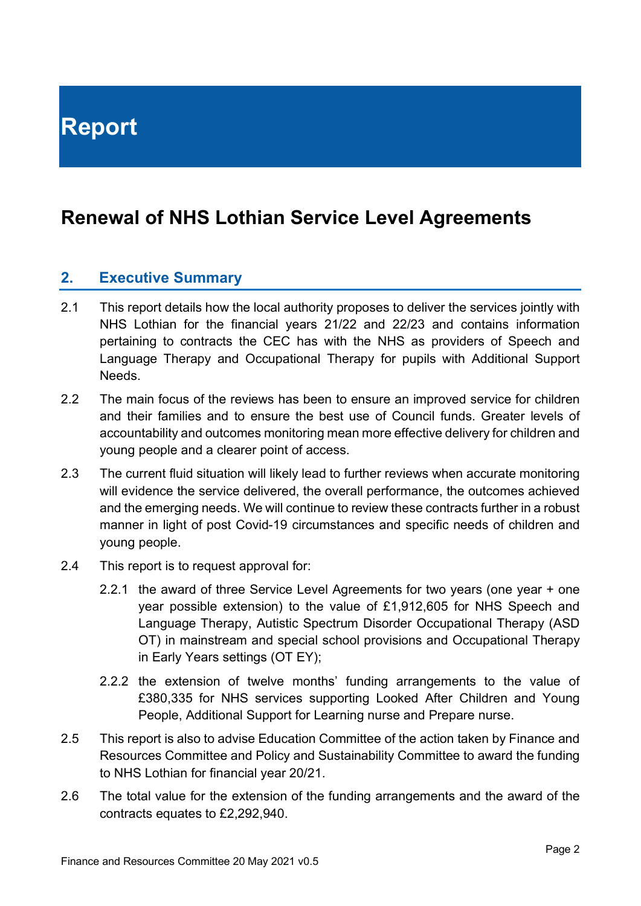# **Renewal of NHS Lothian Service Level Agreements**

## **2. Executive Summary**

- 2.1 This report details how the local authority proposes to deliver the services jointly with NHS Lothian for the financial years 21/22 and 22/23 and contains information pertaining to contracts the CEC has with the NHS as providers of Speech and Language Therapy and Occupational Therapy for pupils with Additional Support **Needs**
- 2.2 The main focus of the reviews has been to ensure an improved service for children and their families and to ensure the best use of Council funds. Greater levels of accountability and outcomes monitoring mean more effective delivery for children and young people and a clearer point of access.
- 2.3 The current fluid situation will likely lead to further reviews when accurate monitoring will evidence the service delivered, the overall performance, the outcomes achieved and the emerging needs. We will continue to review these contracts further in a robust manner in light of post Covid-19 circumstances and specific needs of children and young people.
- 2.4 This report is to request approval for:
	- 2.2.1 the award of three Service Level Agreements for two years (one year + one year possible extension) to the value of £1,912,605 for NHS Speech and Language Therapy, Autistic Spectrum Disorder Occupational Therapy (ASD OT) in mainstream and special school provisions and Occupational Therapy in Early Years settings (OT EY);
	- 2.2.2 the extension of twelve months' funding arrangements to the value of £380,335 for NHS services supporting Looked After Children and Young People, Additional Support for Learning nurse and Prepare nurse.
- 2.5 This report is also to advise Education Committee of the action taken by Finance and Resources Committee and Policy and Sustainability Committee to award the funding to NHS Lothian for financial year 20/21.
- 2.6 The total value for the extension of the funding arrangements and the award of the contracts equates to £2,292,940.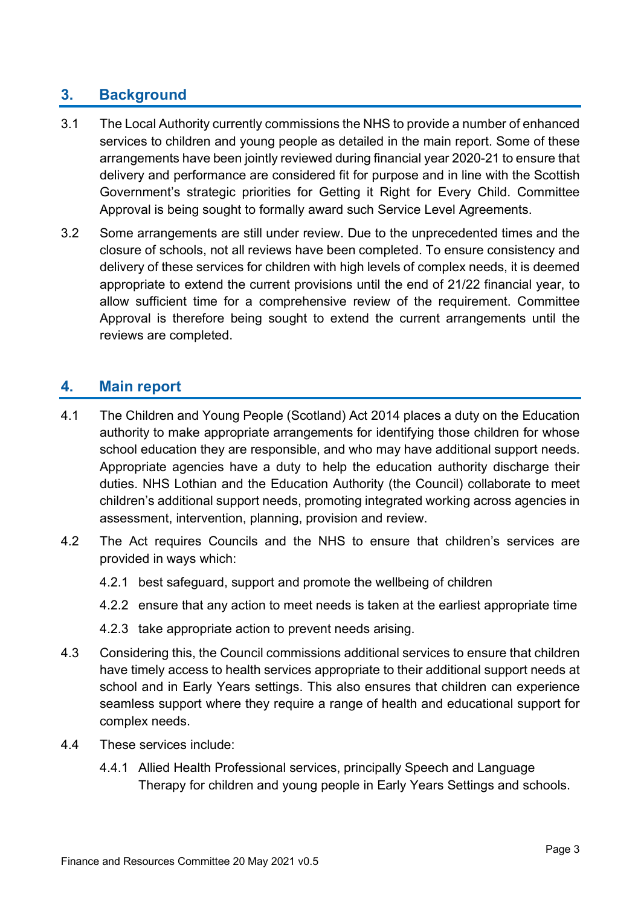# **3. Background**

- 3.1 The Local Authority currently commissions the NHS to provide a number of enhanced services to children and young people as detailed in the main report. Some of these arrangements have been jointly reviewed during financial year 2020-21 to ensure that delivery and performance are considered fit for purpose and in line with the Scottish Government's strategic priorities for Getting it Right for Every Child. Committee Approval is being sought to formally award such Service Level Agreements.
- 3.2 Some arrangements are still under review. Due to the unprecedented times and the closure of schools, not all reviews have been completed. To ensure consistency and delivery of these services for children with high levels of complex needs, it is deemed appropriate to extend the current provisions until the end of 21/22 financial year, to allow sufficient time for a comprehensive review of the requirement. Committee Approval is therefore being sought to extend the current arrangements until the reviews are completed.

### **4. Main report**

- 4.1 The Children and Young People (Scotland) Act 2014 places a duty on the Education authority to make appropriate arrangements for identifying those children for whose school education they are responsible, and who may have additional support needs. Appropriate agencies have a duty to help the education authority discharge their duties. NHS Lothian and the Education Authority (the Council) collaborate to meet children's additional support needs, promoting integrated working across agencies in assessment, intervention, planning, provision and review.
- 4.2 The Act requires Councils and the NHS to ensure that children's services are provided in ways which:
	- 4.2.1 best safeguard, support and promote the wellbeing of children
	- 4.2.2 ensure that any action to meet needs is taken at the earliest appropriate time
	- 4.2.3 take appropriate action to prevent needs arising.
- 4.3 Considering this, the Council commissions additional services to ensure that children have timely access to health services appropriate to their additional support needs at school and in Early Years settings. This also ensures that children can experience seamless support where they require a range of health and educational support for complex needs.
- 4.4 These services include:
	- 4.4.1 Allied Health Professional services, principally Speech and Language Therapy for children and young people in Early Years Settings and schools.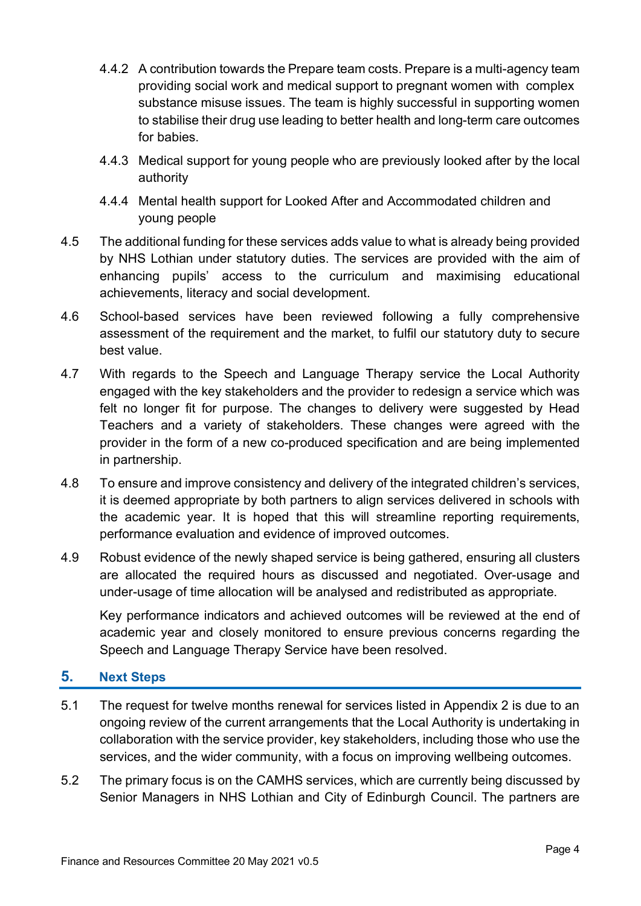- 4.4.2 A contribution towards the Prepare team costs. Prepare is a multi-agency team providing social work and medical support to pregnant women with complex substance misuse issues. The team is highly successful in supporting women to stabilise their drug use leading to better health and long-term care outcomes for babies.
- 4.4.3 Medical support for young people who are previously looked after by the local authority
- 4.4.4 Mental health support for Looked After and Accommodated children and young people
- 4.5 The additional funding for these services adds value to what is already being provided by NHS Lothian under statutory duties. The services are provided with the aim of enhancing pupils' access to the curriculum and maximising educational achievements, literacy and social development.
- 4.6 School-based services have been reviewed following a fully comprehensive assessment of the requirement and the market, to fulfil our statutory duty to secure best value.
- 4.7 With regards to the Speech and Language Therapy service the Local Authority engaged with the key stakeholders and the provider to redesign a service which was felt no longer fit for purpose. The changes to delivery were suggested by Head Teachers and a variety of stakeholders. These changes were agreed with the provider in the form of a new co-produced specification and are being implemented in partnership.
- 4.8 To ensure and improve consistency and delivery of the integrated children's services, it is deemed appropriate by both partners to align services delivered in schools with the academic year. It is hoped that this will streamline reporting requirements, performance evaluation and evidence of improved outcomes.
- 4.9 Robust evidence of the newly shaped service is being gathered, ensuring all clusters are allocated the required hours as discussed and negotiated. Over-usage and under-usage of time allocation will be analysed and redistributed as appropriate.

Key performance indicators and achieved outcomes will be reviewed at the end of academic year and closely monitored to ensure previous concerns regarding the Speech and Language Therapy Service have been resolved.

#### **5. Next Steps**

- 5.1 The request for twelve months renewal for services listed in Appendix 2 is due to an ongoing review of the current arrangements that the Local Authority is undertaking in collaboration with the service provider, key stakeholders, including those who use the services, and the wider community, with a focus on improving wellbeing outcomes.
- 5.2 The primary focus is on the CAMHS services, which are currently being discussed by Senior Managers in NHS Lothian and City of Edinburgh Council. The partners are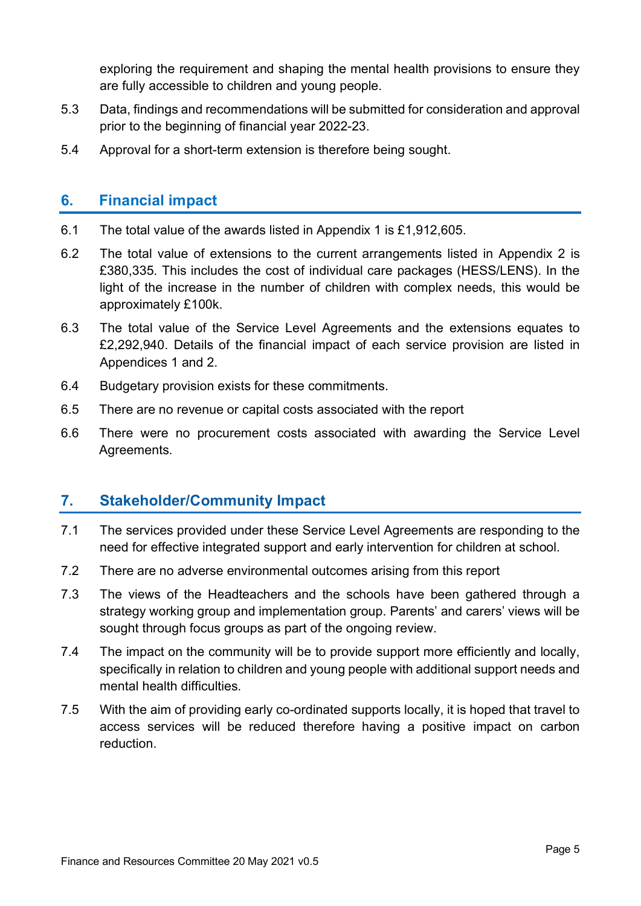exploring the requirement and shaping the mental health provisions to ensure they are fully accessible to children and young people.

- 5.3 Data, findings and recommendations will be submitted for consideration and approval prior to the beginning of financial year 2022-23.
- 5.4 Approval for a short-term extension is therefore being sought.

### **6. Financial impact**

- 6.1 The total value of the awards listed in Appendix 1 is £1,912,605.
- 6.2 The total value of extensions to the current arrangements listed in Appendix 2 is £380,335. This includes the cost of individual care packages (HESS/LENS). In the light of the increase in the number of children with complex needs, this would be approximately £100k.
- 6.3 The total value of the Service Level Agreements and the extensions equates to £2,292,940. Details of the financial impact of each service provision are listed in Appendices 1 and 2.
- 6.4 Budgetary provision exists for these commitments.
- 6.5 There are no revenue or capital costs associated with the report
- 6.6 There were no procurement costs associated with awarding the Service Level Agreements.

## **7. Stakeholder/Community Impact**

- 7.1 The services provided under these Service Level Agreements are responding to the need for effective integrated support and early intervention for children at school.
- 7.2 There are no adverse environmental outcomes arising from this report
- 7.3 The views of the Headteachers and the schools have been gathered through a strategy working group and implementation group. Parents' and carers' views will be sought through focus groups as part of the ongoing review.
- 7.4 The impact on the community will be to provide support more efficiently and locally, specifically in relation to children and young people with additional support needs and mental health difficulties.
- 7.5 With the aim of providing early co-ordinated supports locally, it is hoped that travel to access services will be reduced therefore having a positive impact on carbon reduction.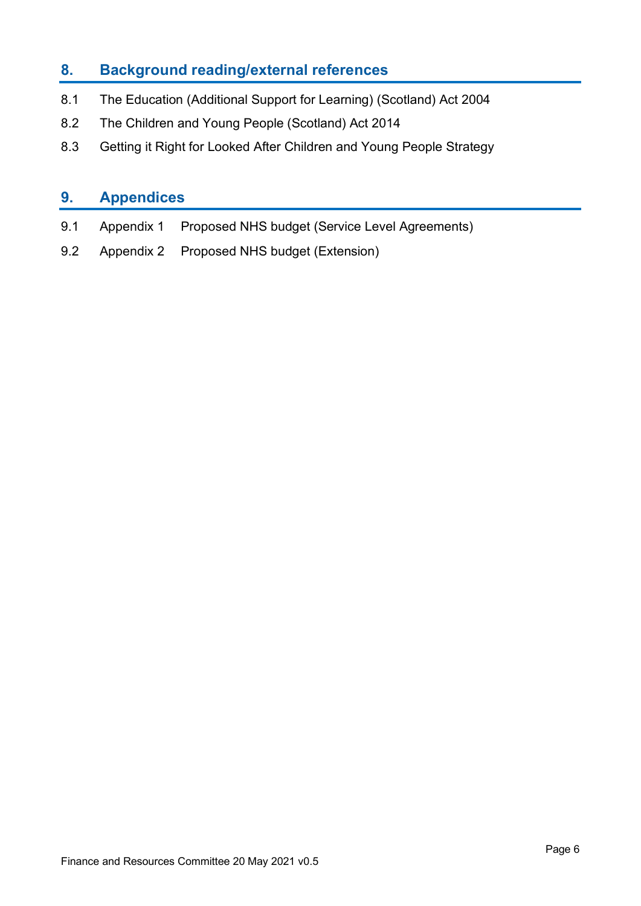# **8. Background reading/external references**

- 8.1 The Education (Additional Support for Learning) (Scotland) Act 2004
- 8.2 The Children and Young People (Scotland) Act 2014
- 8.3 Getting it Right for Looked After Children and Young People Strategy

# **9. Appendices**

- 9.1 Appendix 1 Proposed NHS budget (Service Level Agreements)
- 9.2 Appendix 2 Proposed NHS budget (Extension)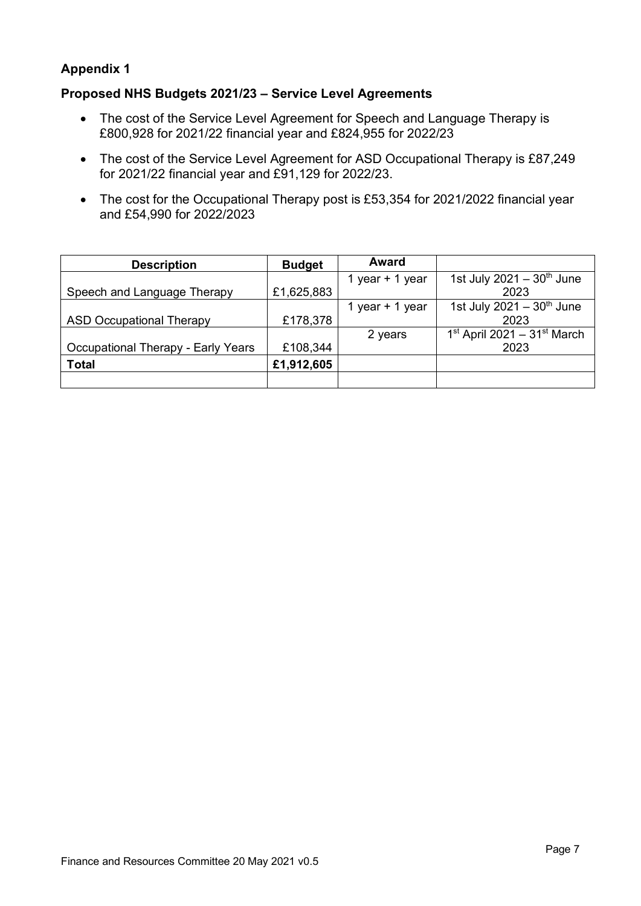#### **Appendix 1**

#### **Proposed NHS Budgets 2021/23 – Service Level Agreements**

- The cost of the Service Level Agreement for Speech and Language Therapy is £800,928 for 2021/22 financial year and £824,955 for 2022/23
- The cost of the Service Level Agreement for ASD Occupational Therapy is £87,249 for 2021/22 financial year and £91,129 for 2022/23.
- The cost for the Occupational Therapy post is £53,354 for 2021/2022 financial year and £54,990 for 2022/2023

| <b>Description</b>                        | <b>Budget</b> | Award           |                                           |
|-------------------------------------------|---------------|-----------------|-------------------------------------------|
|                                           |               | 1 year + 1 year | 1st July 2021 - $30th$ June               |
| Speech and Language Therapy               | £1,625,883    |                 | 2023                                      |
|                                           |               | 1 year + 1 year | 1st July 2021 - $30^{th}$ June            |
| <b>ASD Occupational Therapy</b>           | £178,378      |                 | 2023                                      |
|                                           |               | 2 years         | $1st$ April 2021 - 31 <sup>st</sup> March |
| <b>Occupational Therapy - Early Years</b> | £108,344      |                 | 2023                                      |
| <b>Total</b>                              | £1,912,605    |                 |                                           |
|                                           |               |                 |                                           |